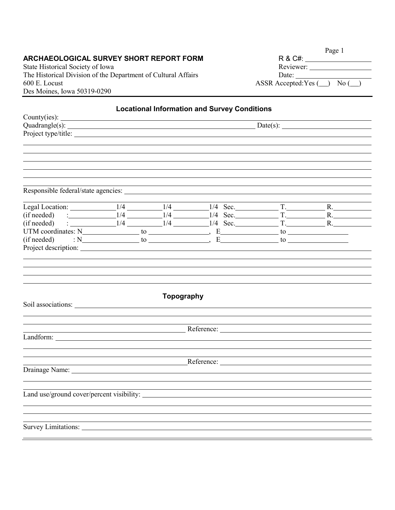# **ARCHAEOLOGICAL SURVEY SHORT REPORT FORM**

State Historical Society of Iowa The Historical Division of the Department of Cultural Affairs<br>600 E. Locust A  $600$  E. Locust Des Moines, Iowa 50319-0290

|                             | Page 1 |      |  |
|-----------------------------|--------|------|--|
| R & C#:                     |        |      |  |
| Reviewer:                   |        |      |  |
| Date:                       |        |      |  |
| $SSR$ Accepted: Yes $(\_\)$ |        | No ( |  |

| <b>Locational Information and Survey Conditions</b>                                                                                                                                                                            |  |            |                                                                                                                                                                                                                                |  |  |
|--------------------------------------------------------------------------------------------------------------------------------------------------------------------------------------------------------------------------------|--|------------|--------------------------------------------------------------------------------------------------------------------------------------------------------------------------------------------------------------------------------|--|--|
| County(ies): $\_\_\_\_\_\_\_\_\_\_\_\_\_\_\_\_\_\_\_\_\_\_\_\_\_\_\_\_\_\_\_$                                                                                                                                                  |  |            |                                                                                                                                                                                                                                |  |  |
| Project type/title:                                                                                                                                                                                                            |  |            |                                                                                                                                                                                                                                |  |  |
|                                                                                                                                                                                                                                |  |            |                                                                                                                                                                                                                                |  |  |
|                                                                                                                                                                                                                                |  |            |                                                                                                                                                                                                                                |  |  |
|                                                                                                                                                                                                                                |  |            |                                                                                                                                                                                                                                |  |  |
|                                                                                                                                                                                                                                |  |            |                                                                                                                                                                                                                                |  |  |
|                                                                                                                                                                                                                                |  |            |                                                                                                                                                                                                                                |  |  |
|                                                                                                                                                                                                                                |  |            |                                                                                                                                                                                                                                |  |  |
|                                                                                                                                                                                                                                |  |            |                                                                                                                                                                                                                                |  |  |
| (if needed) $\frac{1}{4}$ 1/4 1/4 1/4 5ec. T.                                                                                                                                                                                  |  |            |                                                                                                                                                                                                                                |  |  |
| (if needed) : $1/4$ $1/4$ $1/4$ Sec. T.                                                                                                                                                                                        |  |            |                                                                                                                                                                                                                                |  |  |
|                                                                                                                                                                                                                                |  |            |                                                                                                                                                                                                                                |  |  |
|                                                                                                                                                                                                                                |  |            |                                                                                                                                                                                                                                |  |  |
| Project description:                                                                                                                                                                                                           |  |            |                                                                                                                                                                                                                                |  |  |
|                                                                                                                                                                                                                                |  | Topography |                                                                                                                                                                                                                                |  |  |
|                                                                                                                                                                                                                                |  |            |                                                                                                                                                                                                                                |  |  |
|                                                                                                                                                                                                                                |  |            | Reference: Network Contains and Contains and Contains and Contains and Contains and Contains and Contains and Contains and Contains and Contains and Contains and Contains and Contains and Contains and Contains and Contains |  |  |
|                                                                                                                                                                                                                                |  |            |                                                                                                                                                                                                                                |  |  |
|                                                                                                                                                                                                                                |  |            |                                                                                                                                                                                                                                |  |  |
|                                                                                                                                                                                                                                |  |            |                                                                                                                                                                                                                                |  |  |
| Drainage Name: Name: Name: Name: Name: Name: Name: Name: Name: Name: Name: Name: Name: Name: Name: Name: Name: Name: Name: Name: Name: Name: Name: Name: Name: Name: Name: Name: Name: Name: Name: Name: Name: Name: Name: Nam |  |            |                                                                                                                                                                                                                                |  |  |
|                                                                                                                                                                                                                                |  |            |                                                                                                                                                                                                                                |  |  |
|                                                                                                                                                                                                                                |  |            |                                                                                                                                                                                                                                |  |  |
| Land use/ground cover/percent visibility:                                                                                                                                                                                      |  |            |                                                                                                                                                                                                                                |  |  |
|                                                                                                                                                                                                                                |  |            |                                                                                                                                                                                                                                |  |  |
|                                                                                                                                                                                                                                |  |            |                                                                                                                                                                                                                                |  |  |
| Survey Limitations:                                                                                                                                                                                                            |  |            |                                                                                                                                                                                                                                |  |  |
|                                                                                                                                                                                                                                |  |            |                                                                                                                                                                                                                                |  |  |
|                                                                                                                                                                                                                                |  |            |                                                                                                                                                                                                                                |  |  |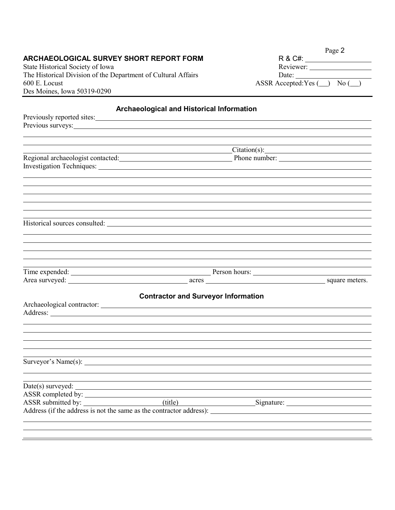#### **ARCHAEOLOGICAL SURVEY SHORT REPORT FORM**

State Historical Society of Iowa The Historical Division of the Department of Cultural Affairs 600 E. Locust  $\overline{ASSR}$  ACcepted:Yes  $\overline{()}$  No  $\overline{()}$ Des Moines, Iowa 50319-0290

|                        | Page 2 |
|------------------------|--------|
| R & C#:                |        |
| Reviewer:              |        |
| Date:                  |        |
| ASSR Accepted:Yes (__) | No (   |

# **Archaeological and Historical Information** Previously reported sites: Previous surveys: Citation(s): Charles Contains a Communication of the Communication of the Communication of the Communication of the Communication of the Communication of the Communication of the Communication of the Communication of the C Regional archaeologist contacted: Phone number: Phone number: Investigation Techniques: Historical sources consulted: Time expended: <u>Person hours:</u> Person hours: Area surveyed: square meters. **Contractor and Surveyor Information** Archaeological contractor: Address: <u>Quarterial and the contract of the contract of the contract of the contract of the contract of the contract of the contract of the contract of the contract of the contract of the contract of the contract of the c</u> Surveyor's Name(s): Date(s) surveyed: ASSR completed by: ASSR submitted by: (title) Signature: Address (if the address is not the same as the contractor address):